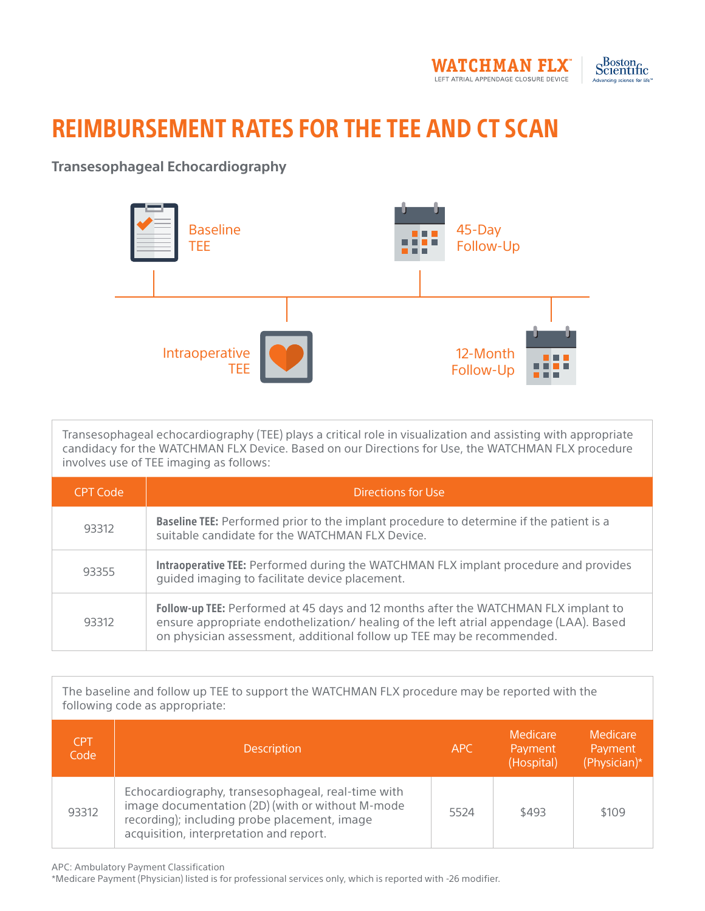



## REIMBURSEMENT RATES FOR THE TEE AND CT SCAN

## **Transesophageal Echocardiography**



Transesophageal echocardiography (TEE) plays a critical role in visualization and assisting with appropriate candidacy for the WATCHMAN FLX Device. Based on our Directions for Use, the WATCHMAN FLX procedure involves use of TEE imaging as follows:

| CPT Code | Directions for Use                                                                                                                                                                                                                                    |
|----------|-------------------------------------------------------------------------------------------------------------------------------------------------------------------------------------------------------------------------------------------------------|
| 93312    | <b>Baseline TEE:</b> Performed prior to the implant procedure to determine if the patient is a<br>suitable candidate for the WATCHMAN FLX Device.                                                                                                     |
| 93355    | Intraoperative TEE: Performed during the WATCHMAN FLX implant procedure and provides<br>quided imaging to facilitate device placement.                                                                                                                |
| 93312    | Follow-up TEE: Performed at 45 days and 12 months after the WATCHMAN FLX implant to<br>ensure appropriate endothelization/ healing of the left atrial appendage (LAA). Based<br>on physician assessment, additional follow up TEE may be recommended. |

The baseline and follow up TEE to support the WATCHMAN FLX procedure may be reported with the following code as appropriate:

| <b>CPT</b><br>Code | <b>Description</b>                                                                                                                                                                               | APC  | Medicare<br>Payment<br>(Hospital) | Medicare<br>Payment<br>(Physician)* |
|--------------------|--------------------------------------------------------------------------------------------------------------------------------------------------------------------------------------------------|------|-----------------------------------|-------------------------------------|
| 93312              | Echocardiography, transesophageal, real-time with<br>image documentation (2D) (with or without M-mode<br>recording); including probe placement, image<br>acquisition, interpretation and report. | 5524 | \$493                             | \$109                               |

APC: Ambulatory Payment Classification

\*Medicare Payment (Physician) listed is for professional services only, which is reported with -26 modifier.